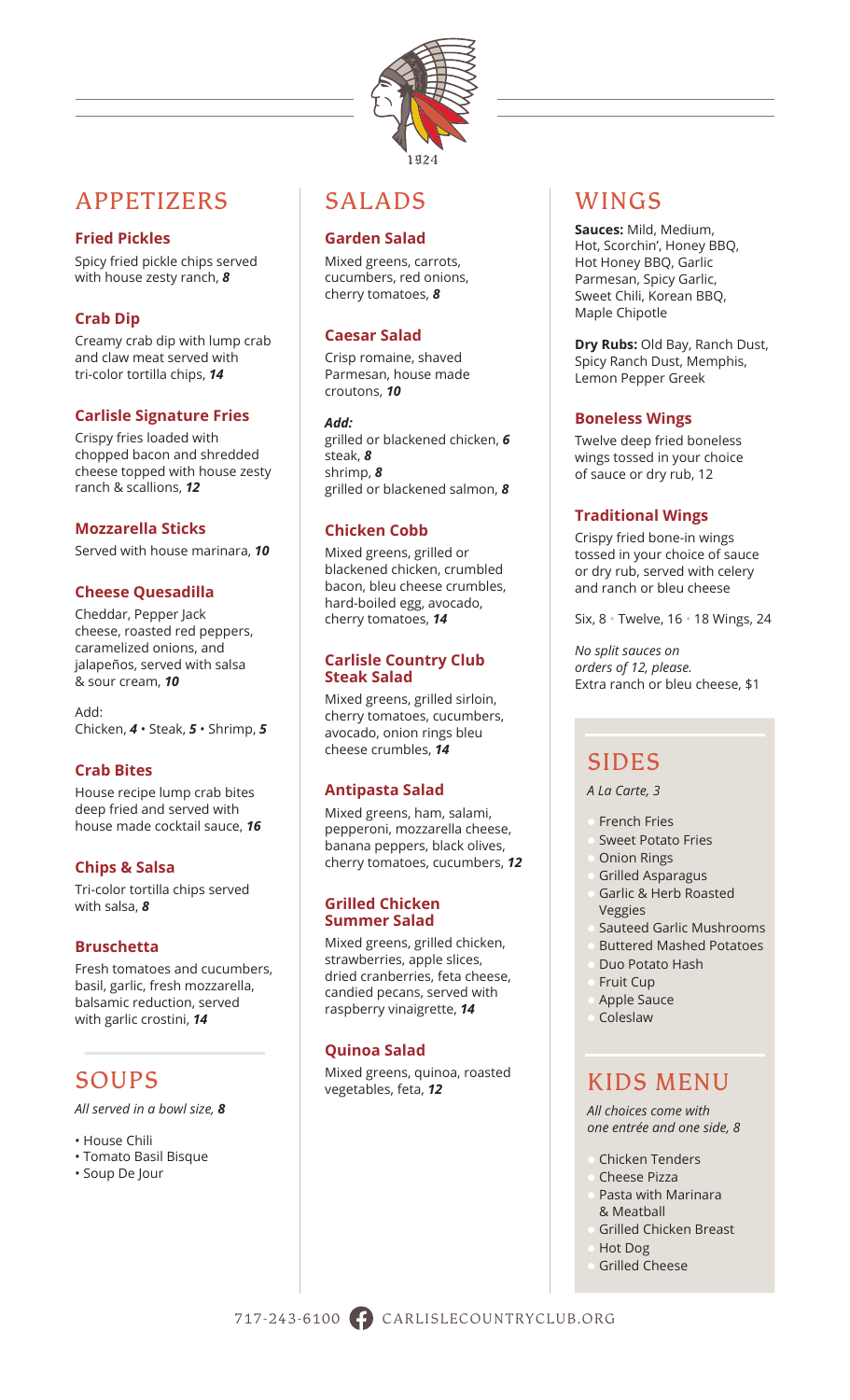

## APPETIZERS

## **Fried Pickles**

Spicy fried pickle chips served with house zesty ranch, *8*

## **Crab Dip**

Creamy crab dip with lump crab and claw meat served with tri-color tortilla chips, *14*

## **Carlisle Signature Fries**

Crispy fries loaded with chopped bacon and shredded cheese topped with house zesty ranch & scallions, *12*

#### **Mozzarella Sticks**

Served with house marinara, *10*

## **Cheese Quesadilla**

Cheddar, Pepper Jack cheese, roasted red peppers, caramelized onions, and jalapeños, served with salsa & sour cream, *10*

Add: Chicken, *4* • Steak, *5* • Shrimp, *5*

## **Crab Bites**

House recipe lump crab bites deep fried and served with house made cocktail sauce, *16*

## **Chips & Salsa**

Tri-color tortilla chips served with salsa, *8*

## **Bruschetta**

Fresh tomatoes and cucumbers, basil, garlic, fresh mozzarella, balsamic reduction, served with garlic crostini, *14*

# SOUPS

*All served in a bowl size, 8*

- House Chili
- Tomato Basil Bisque
- Soup De Jour

## SALADS

## **Garden Salad**

Mixed greens, carrots, cucumbers, red onions, cherry tomatoes, *8*

## **Caesar Salad**

Crisp romaine, shaved Parmesan, house made croutons, *10*

#### *Add:*

grilled or blackened chicken, *6* steak, *8* shrimp, *8* grilled or blackened salmon, *8*

## **Chicken Cobb**

Mixed greens, grilled or blackened chicken, crumbled bacon, bleu cheese crumbles, hard-boiled egg, avocado, cherry tomatoes, *14*

#### **Carlisle Country Club Steak Salad**

Mixed greens, grilled sirloin, cherry tomatoes, cucumbers, avocado, onion rings bleu cheese crumbles, *14*

## **Antipasta Salad**

Mixed greens, ham, salami, pepperoni, mozzarella cheese, banana peppers, black olives, cherry tomatoes, cucumbers, *12*

#### **Grilled Chicken Summer Salad**

Mixed greens, grilled chicken, strawberries, apple slices, dried cranberries, feta cheese, candied pecans, served with raspberry vinaigrette, *14*

## **Quinoa Salad**

Mixed greens, quinoa, roasted vegetables, feta, *12*

# WINGS

**Sauces:** Mild, Medium, Hot, Scorchin', Honey BBQ, Hot Honey BBQ, Garlic Parmesan, Spicy Garlic, Sweet Chili, Korean BBQ, Maple Chipotle

**Dry Rubs:** Old Bay, Ranch Dust, Spicy Ranch Dust, Memphis, Lemon Pepper Greek

## **Boneless Wings**

Twelve deep fried boneless wings tossed in your choice of sauce or dry rub, 12

## **Traditional Wings**

Crispy fried bone-in wings tossed in your choice of sauce or dry rub, served with celery and ranch or bleu cheese

Six, 8 • Twelve, 16 • 18 Wings, 24

*No split sauces on orders of 12, please.*  Extra ranch or bleu cheese, \$1

# SIDES

*A La Carte, 3*

- **French Fries**
- Sweet Potato Fries
- **Onion Rings**
- **Grilled Asparagus**
- Garlic & Herb Roasted Veggies
- l Sauteed Garlic Mushrooms
- l Buttered Mashed Potatoes
- l Duo Potato Hash
- Fruit Cup
- Apple Sauce
- **Coleslaw**

## KIDS MENU

*All choices come with one entrée and one side, 8*

- Chicken Tenders
- **Cheese Pizza**
- Pasta with Marinara & Meatball
- **Grilled Chicken Breast**
- Hot Dog
	- **Grilled Cheese**